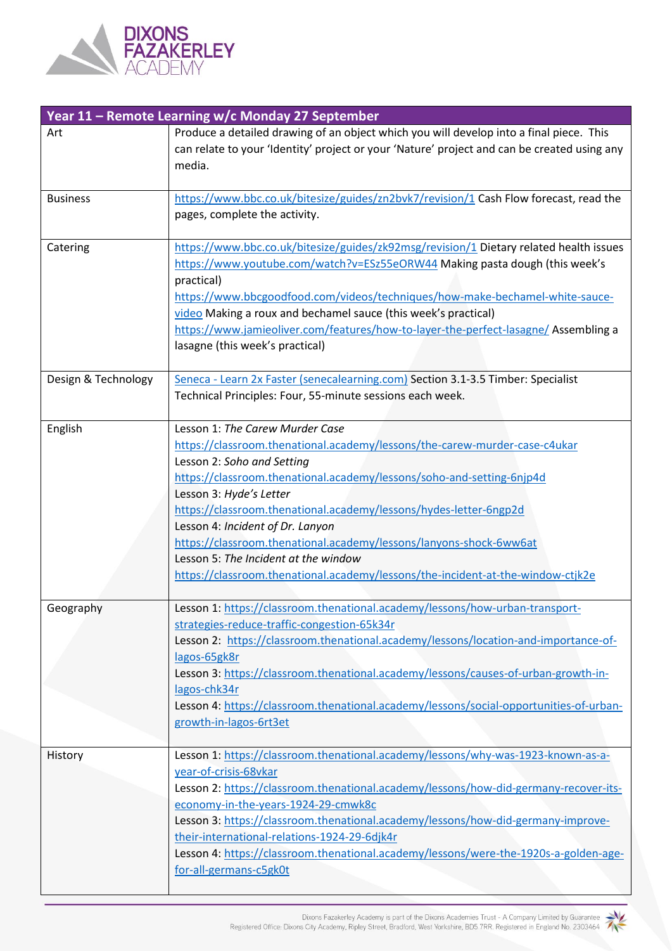

| Year 11 - Remote Learning w/c Monday 27 September |                                                                                                                                                                                                                                                                                                                                                                                                                                                                                                                                                           |  |
|---------------------------------------------------|-----------------------------------------------------------------------------------------------------------------------------------------------------------------------------------------------------------------------------------------------------------------------------------------------------------------------------------------------------------------------------------------------------------------------------------------------------------------------------------------------------------------------------------------------------------|--|
| Art                                               | Produce a detailed drawing of an object which you will develop into a final piece. This<br>can relate to your 'Identity' project or your 'Nature' project and can be created using any<br>media.                                                                                                                                                                                                                                                                                                                                                          |  |
| <b>Business</b>                                   | https://www.bbc.co.uk/bitesize/guides/zn2bvk7/revision/1 Cash Flow forecast, read the<br>pages, complete the activity.                                                                                                                                                                                                                                                                                                                                                                                                                                    |  |
| Catering                                          | https://www.bbc.co.uk/bitesize/guides/zk92msg/revision/1 Dietary related health issues<br>https://www.youtube.com/watch?v=ESz55eORW44 Making pasta dough (this week's<br>practical)<br>https://www.bbcgoodfood.com/videos/techniques/how-make-bechamel-white-sauce-<br>video Making a roux and bechamel sauce (this week's practical)<br>https://www.jamieoliver.com/features/how-to-layer-the-perfect-lasagne/Assembling a<br>lasagne (this week's practical)                                                                                            |  |
| Design & Technology                               | Seneca - Learn 2x Faster (senecalearning.com) Section 3.1-3.5 Timber: Specialist<br>Technical Principles: Four, 55-minute sessions each week.                                                                                                                                                                                                                                                                                                                                                                                                             |  |
| English                                           | Lesson 1: The Carew Murder Case<br>https://classroom.thenational.academy/lessons/the-carew-murder-case-c4ukar<br>Lesson 2: Soho and Setting<br>https://classroom.thenational.academy/lessons/soho-and-setting-6njp4d<br>Lesson 3: Hyde's Letter<br>https://classroom.thenational.academy/lessons/hydes-letter-6ngp2d<br>Lesson 4: Incident of Dr. Lanyon<br>https://classroom.thenational.academy/lessons/lanyons-shock-6ww6at<br>Lesson 5: The Incident at the window<br>https://classroom.thenational.academy/lessons/the-incident-at-the-window-ctjk2e |  |
| Geography                                         | Lesson 1: https://classroom.thenational.academy/lessons/how-urban-transport-<br>strategies-reduce-traffic-congestion-65k34r<br>Lesson 2: https://classroom.thenational.academy/lessons/location-and-importance-of-<br>lagos-65gk8r<br>Lesson 3: https://classroom.thenational.academy/lessons/causes-of-urban-growth-in-<br>lagos-chk34r<br>Lesson 4: https://classroom.thenational.academy/lessons/social-opportunities-of-urban-<br>growth-in-lagos-6rt3et                                                                                              |  |
| History                                           | Lesson 1: https://classroom.thenational.academy/lessons/why-was-1923-known-as-a-<br>year-of-crisis-68vkar<br>Lesson 2: https://classroom.thenational.academy/lessons/how-did-germany-recover-its-<br>economy-in-the-years-1924-29-cmwk8c<br>Lesson 3: https://classroom.thenational.academy/lessons/how-did-germany-improve-<br>their-international-relations-1924-29-6djk4r<br>Lesson 4: https://classroom.thenational.academy/lessons/were-the-1920s-a-golden-age-<br>for-all-germans-c5gk0t                                                            |  |